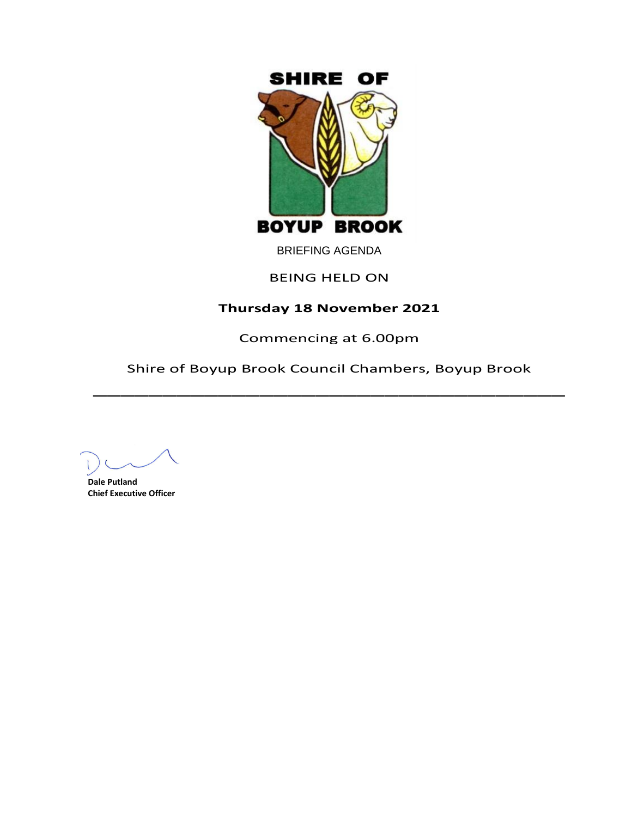

BRIEFING AGENDA

# BEING HELD ON

# **Thursday 18 November 2021**

Commencing at 6.00pm

Shire of Boyup Brook Council Chambers, Boyup Brook  $\overline{\phantom{a}}$ 

**Dale Putland Chief Executive Officer**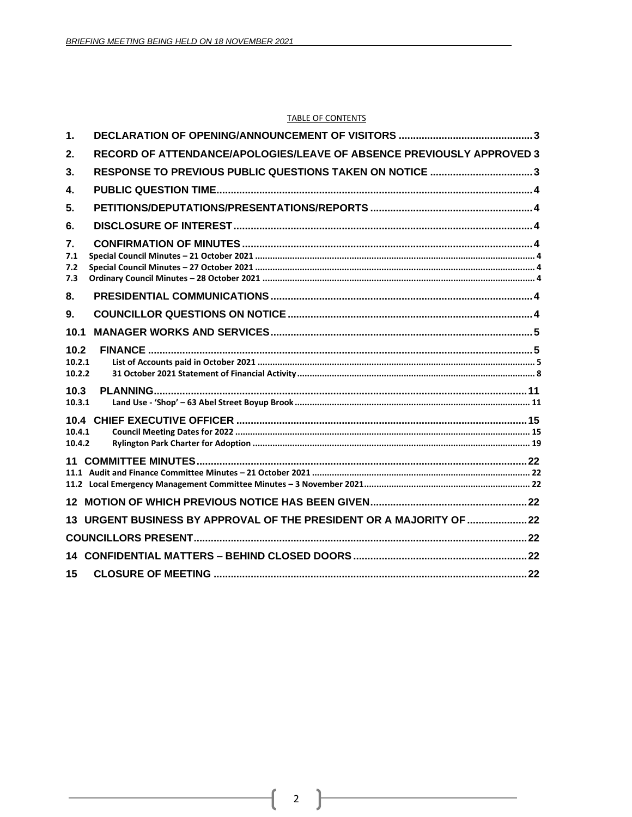#### **TABLE OF CONTENTS**

| 1.                       |                                                                       |  |
|--------------------------|-----------------------------------------------------------------------|--|
| 2.                       | RECORD OF ATTENDANCE/APOLOGIES/LEAVE OF ABSENCE PREVIOUSLY APPROVED 3 |  |
| 3 <sub>1</sub>           | RESPONSE TO PREVIOUS PUBLIC QUESTIONS TAKEN ON NOTICE 3               |  |
| 4.                       |                                                                       |  |
| 5.                       |                                                                       |  |
| 6.                       |                                                                       |  |
| 7.<br>7.1<br>7.2<br>7.3  |                                                                       |  |
| 8.                       |                                                                       |  |
| 9.                       |                                                                       |  |
| 10.1                     |                                                                       |  |
| 10.2<br>10.2.1<br>10.2.2 |                                                                       |  |
| 10.3<br>10.3.1           |                                                                       |  |
| 10.4.1<br>10.4.2         |                                                                       |  |
| 11                       |                                                                       |  |
|                          |                                                                       |  |
|                          | 13 URGENT BUSINESS BY APPROVAL OF THE PRESIDENT OR A MAJORITY OF  22  |  |
|                          |                                                                       |  |
|                          |                                                                       |  |
| 15                       |                                                                       |  |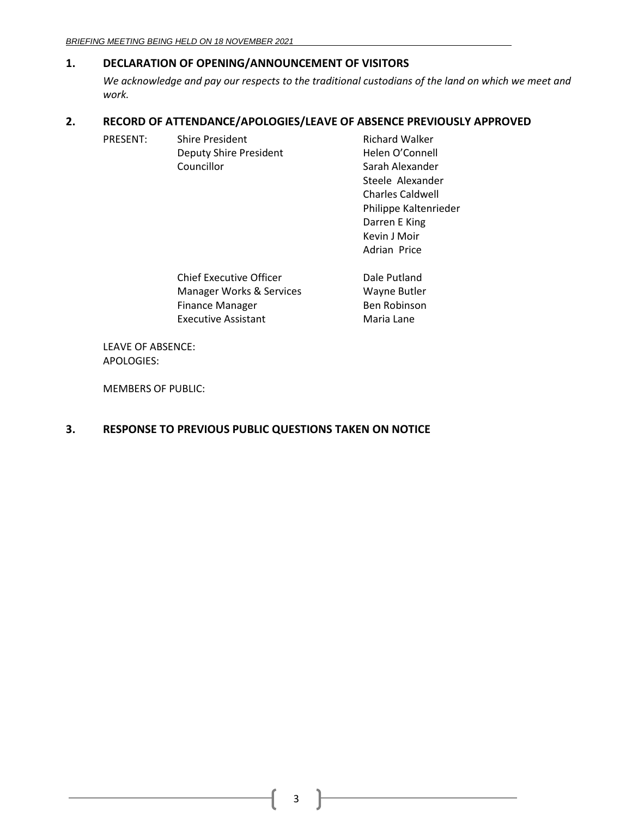# <span id="page-2-0"></span>**1. DECLARATION OF OPENING/ANNOUNCEMENT OF VISITORS**

*We acknowledge and pay our respects to the traditional custodians of the land on which we meet and work.*

> Kevin J Moir Adrian Price

# <span id="page-2-1"></span>**2. RECORD OF ATTENDANCE/APOLOGIES/LEAVE OF ABSENCE PREVIOUSLY APPROVED**

| PRESENT: | <b>Shire President</b>        | <b>Richard Walker</b>   |
|----------|-------------------------------|-------------------------|
|          | <b>Deputy Shire President</b> | Helen O'Connell         |
|          | Councillor                    | Sarah Alexander         |
|          |                               | Steele Alexander        |
|          |                               | <b>Charles Caldwell</b> |
|          |                               | Philippe Kaltenrieder   |
|          |                               | Darren E King           |

| <b>Chief Executive Officer</b> | Dale Putland |
|--------------------------------|--------------|
| Manager Works & Services       | Wayne Butler |
| <b>Finance Manager</b>         | Ben Robinson |
| <b>Executive Assistant</b>     | Maria Lane   |

LEAVE OF ABSENCE: APOLOGIES:

MEMBERS OF PUBLIC:

# <span id="page-2-2"></span>**3. RESPONSE TO PREVIOUS PUBLIC QUESTIONS TAKEN ON NOTICE**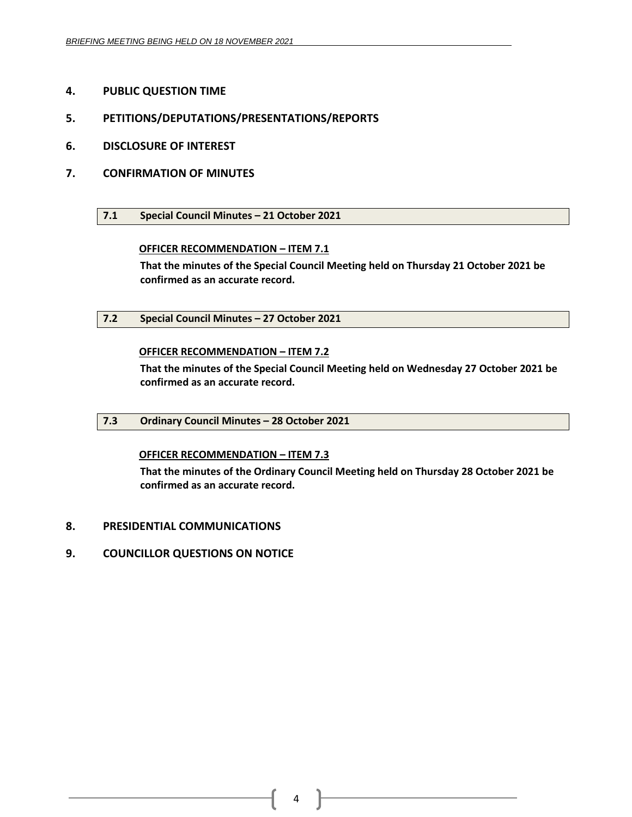- <span id="page-3-0"></span>**4. PUBLIC QUESTION TIME**
- <span id="page-3-1"></span>**5. PETITIONS/DEPUTATIONS/PRESENTATIONS/REPORTS**
- <span id="page-3-2"></span>**6. DISCLOSURE OF INTEREST**
- <span id="page-3-4"></span><span id="page-3-3"></span>**7. CONFIRMATION OF MINUTES**
	- **7.1 Special Council Minutes – 21 October 2021**

# **OFFICER RECOMMENDATION – ITEM 7.1**

**That the minutes of the Special Council Meeting held on Thursday 21 October 2021 be confirmed as an accurate record.**

<span id="page-3-5"></span>**7.2 Special Council Minutes – 27 October 2021**

# **OFFICER RECOMMENDATION – ITEM 7.2**

**That the minutes of the Special Council Meeting held on Wednesday 27 October 2021 be confirmed as an accurate record.**

<span id="page-3-6"></span>**7.3 Ordinary Council Minutes – 28 October 2021**

# **OFFICER RECOMMENDATION – ITEM 7.3**

**That the minutes of the Ordinary Council Meeting held on Thursday 28 October 2021 be confirmed as an accurate record.**

- <span id="page-3-7"></span>**8. PRESIDENTIAL COMMUNICATIONS**
- <span id="page-3-8"></span>**9. COUNCILLOR QUESTIONS ON NOTICE**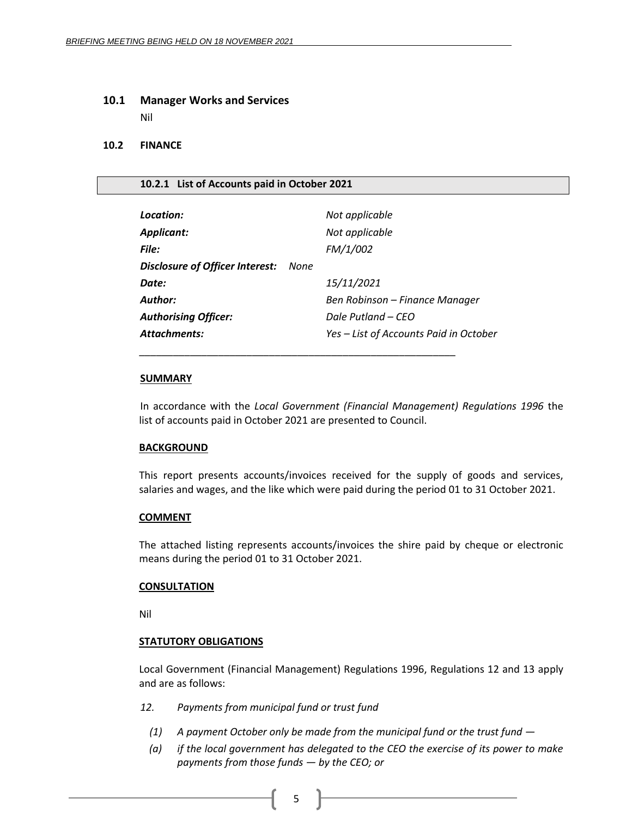## <span id="page-4-0"></span>**10.1 Manager Works and Services**

Nil

## <span id="page-4-1"></span>**10.2 FINANCE**

## <span id="page-4-2"></span>**10.2.1 List of Accounts paid in October 2021**

| Location:<br>Applicant:<br>File: | Not applicable<br>Not applicable<br>FM/1/002 |
|----------------------------------|----------------------------------------------|
| Disclosure of Officer Interest:  | None                                         |
| Date:                            | 15/11/2021                                   |
| Author:                          | Ben Robinson - Finance Manager               |
| <b>Authorising Officer:</b>      | Dale Putland – CEO                           |
| <b>Attachments:</b>              | Yes – List of Accounts Paid in October       |

\_\_\_\_\_\_\_\_\_\_\_\_\_\_\_\_\_\_\_\_\_\_\_\_\_\_\_\_\_\_\_\_\_\_\_\_\_\_\_\_\_\_\_\_\_\_\_\_\_\_\_\_\_\_\_\_

## **SUMMARY**

In accordance with the *Local Government (Financial Management) Regulations 1996* the list of accounts paid in October 2021 are presented to Council.

## **BACKGROUND**

This report presents accounts/invoices received for the supply of goods and services, salaries and wages, and the like which were paid during the period 01 to 31 October 2021.

## **COMMENT**

The attached listing represents accounts/invoices the shire paid by cheque or electronic means during the period 01 to 31 October 2021.

## **CONSULTATION**

Nil

# **STATUTORY OBLIGATIONS**

Local Government (Financial Management) Regulations 1996, Regulations 12 and 13 apply and are as follows:

- *12. Payments from municipal fund or trust fund*
	- *(1) A payment October only be made from the municipal fund or the trust fund —*
	- *(a) if the local government has delegated to the CEO the exercise of its power to make payments from those funds — by the CEO; or*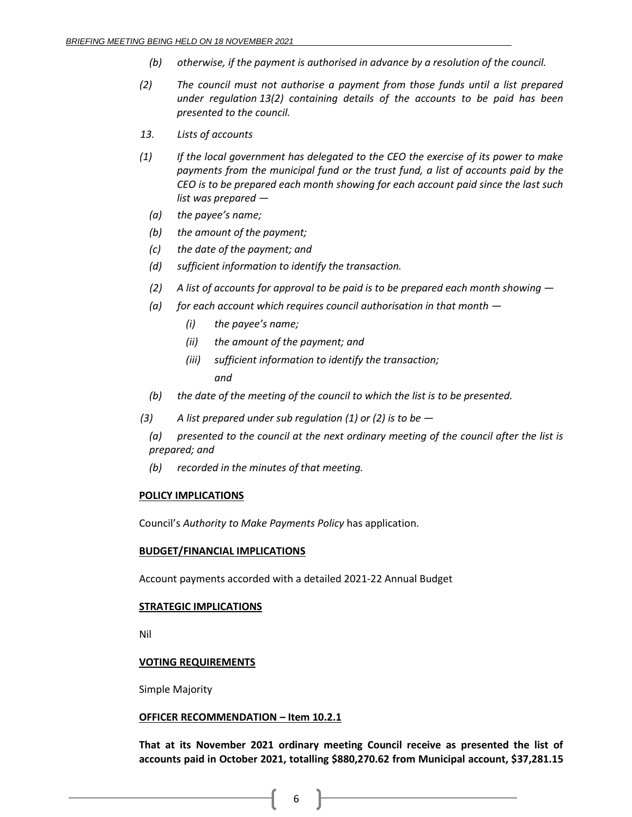- *(b) otherwise, if the payment is authorised in advance by a resolution of the council.*
- *(2) The council must not authorise a payment from those funds until a list prepared under regulation 13(2) containing details of the accounts to be paid has been presented to the council.*
- *13. Lists of accounts*
- *(1) If the local government has delegated to the CEO the exercise of its power to make payments from the municipal fund or the trust fund, a list of accounts paid by the CEO is to be prepared each month showing for each account paid since the last such list was prepared —*
	- *(a) the payee's name;*
	- *(b) the amount of the payment;*
	- *(c) the date of the payment; and*
	- *(d) sufficient information to identify the transaction.*
	- *(2) A list of accounts for approval to be paid is to be prepared each month showing —*
	- *(a) for each account which requires council authorisation in that month —*
		- *(i) the payee's name;*
		- *(ii) the amount of the payment; and*
		- *(iii) sufficient information to identify the transaction; and*
	- *(b) the date of the meeting of the council to which the list is to be presented.*
- *(3) A list prepared under sub regulation (1) or (2) is to be —*
	- *(a) presented to the council at the next ordinary meeting of the council after the list is prepared; and*
	- *(b) recorded in the minutes of that meeting.*

## **POLICY IMPLICATIONS**

Council's *Authority to Make Payments Policy* has application.

## **BUDGET/FINANCIAL IMPLICATIONS**

Account payments accorded with a detailed 2021-22 Annual Budget

## **STRATEGIC IMPLICATIONS**

Nil

## **VOTING REQUIREMENTS**

Simple Majority

## **OFFICER RECOMMENDATION – Item 10.2.1**

**That at its November 2021 ordinary meeting Council receive as presented the list of accounts paid in October 2021, totalling \$880,270.62 from Municipal account, \$37,281.15**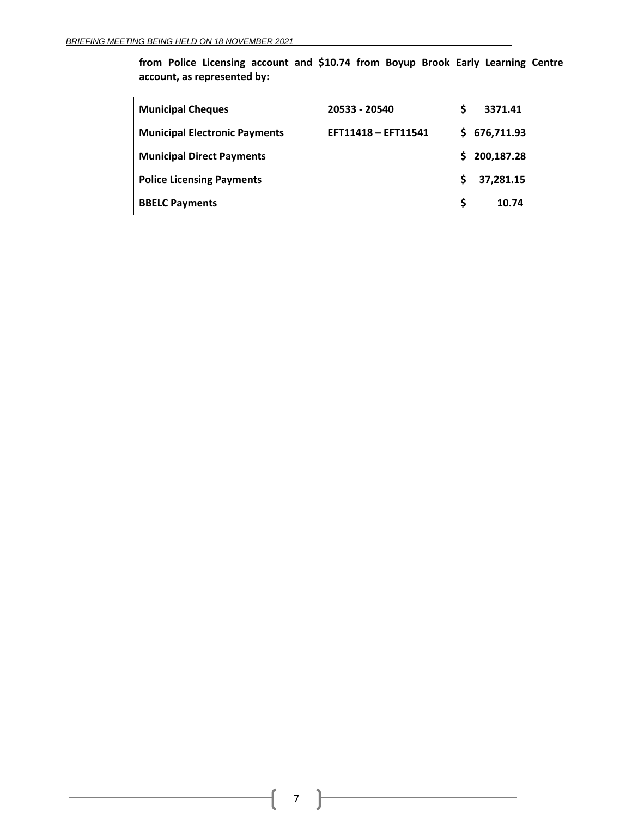**from Police Licensing account and \$10.74 from Boyup Brook Early Learning Centre account, as represented by:**

| <b>Municipal Cheques</b>             | 20533 - 20540       | S  | 3371.41      |
|--------------------------------------|---------------------|----|--------------|
| <b>Municipal Electronic Payments</b> | EFT11418 - EFT11541 |    | \$676,711.93 |
| <b>Municipal Direct Payments</b>     |                     | S. | 200,187.28   |
| <b>Police Licensing Payments</b>     |                     | S  | 37,281.15    |
| <b>BBELC Payments</b>                |                     | S. | 10.74        |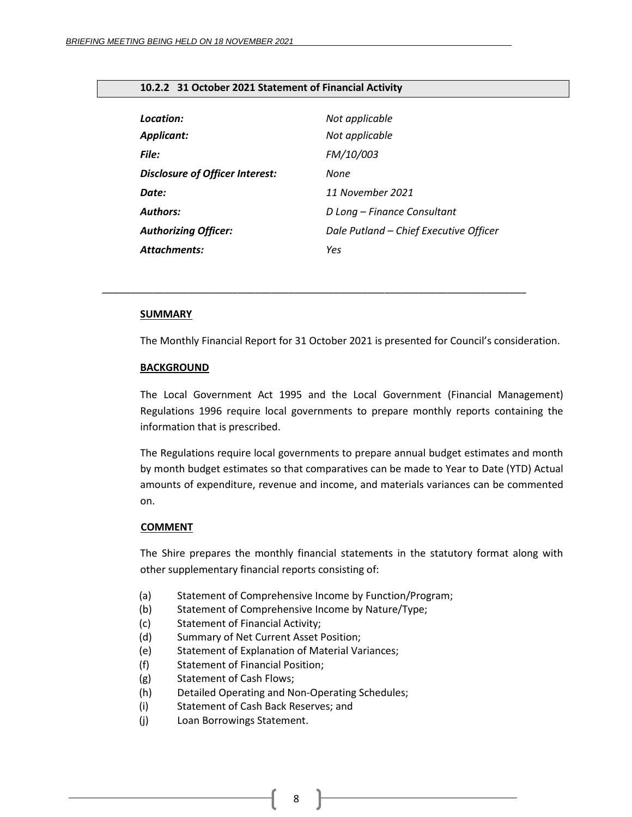# <span id="page-7-0"></span>**10.2.2 31 October 2021 Statement of Financial Activity**

| Location:                              | Not applicable                         |
|----------------------------------------|----------------------------------------|
| <b>Applicant:</b>                      | Not applicable                         |
| File:                                  | FM/10/003                              |
| <b>Disclosure of Officer Interest:</b> | None                                   |
| Date:                                  | 11 November 2021                       |
| <b>Authors:</b>                        | D Long - Finance Consultant            |
| <b>Authorizing Officer:</b>            | Dale Putland - Chief Executive Officer |
| <b>Attachments:</b>                    | Yes                                    |

*\_\_\_\_\_\_\_\_\_\_\_\_\_\_\_\_\_\_\_\_\_\_\_\_\_\_\_\_\_\_\_\_\_\_\_\_\_\_\_\_\_\_\_\_\_\_\_\_\_\_\_\_\_\_\_\_\_\_\_\_\_\_\_\_\_\_\_\_\_\_\_\_\_\_\_*

#### **SUMMARY**

The Monthly Financial Report for 31 October 2021 is presented for Council's consideration.

#### **BACKGROUND**

The Local Government Act 1995 and the Local Government (Financial Management) Regulations 1996 require local governments to prepare monthly reports containing the information that is prescribed.

The Regulations require local governments to prepare annual budget estimates and month by month budget estimates so that comparatives can be made to Year to Date (YTD) Actual amounts of expenditure, revenue and income, and materials variances can be commented on.

#### **COMMENT**

The Shire prepares the monthly financial statements in the statutory format along with other supplementary financial reports consisting of:

- (a) Statement of Comprehensive Income by Function/Program;
- (b) Statement of Comprehensive Income by Nature/Type;
- (c) Statement of Financial Activity;
- (d) Summary of Net Current Asset Position;
- (e) Statement of Explanation of Material Variances;
- (f) Statement of Financial Position;
- (g) Statement of Cash Flows;
- (h) Detailed Operating and Non-Operating Schedules;
- (i) Statement of Cash Back Reserves; and
- (j) Loan Borrowings Statement.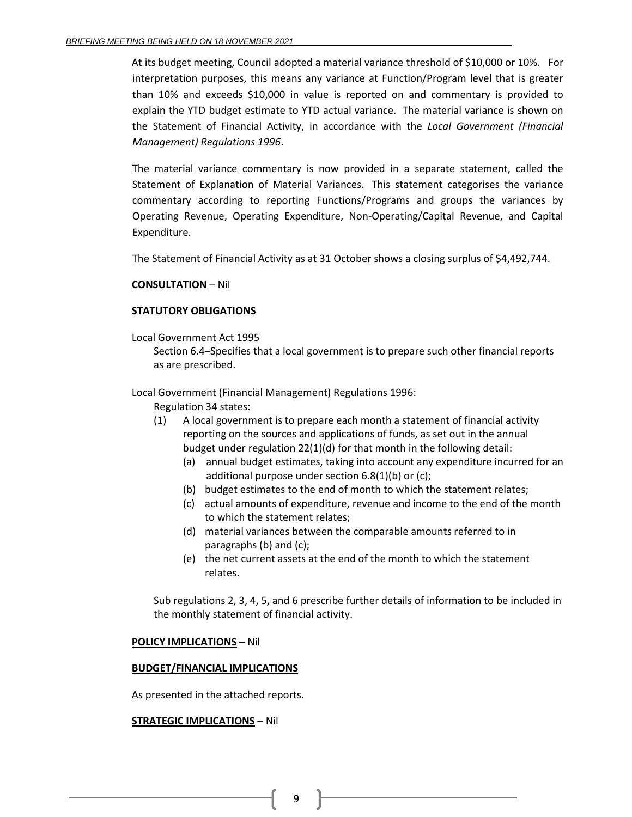At its budget meeting, Council adopted a material variance threshold of \$10,000 or 10%. For interpretation purposes, this means any variance at Function/Program level that is greater than 10% and exceeds \$10,000 in value is reported on and commentary is provided to explain the YTD budget estimate to YTD actual variance. The material variance is shown on the Statement of Financial Activity, in accordance with the *Local Government (Financial Management) Regulations 1996*.

The material variance commentary is now provided in a separate statement, called the Statement of Explanation of Material Variances. This statement categorises the variance commentary according to reporting Functions/Programs and groups the variances by Operating Revenue, Operating Expenditure, Non-Operating/Capital Revenue, and Capital Expenditure.

The Statement of Financial Activity as at 31 October shows a closing surplus of \$4,492,744.

## **CONSULTATION** – Nil

## **STATUTORY OBLIGATIONS**

Local Government Act 1995

Section 6.4–Specifies that a local government is to prepare such other financial reports as are prescribed.

Local Government (Financial Management) Regulations 1996:

- Regulation 34 states:
- (1) A local government is to prepare each month a statement of financial activity reporting on the sources and applications of funds, as set out in the annual budget under regulation 22(1)(d) for that month in the following detail:
	- (a) annual budget estimates, taking into account any expenditure incurred for an additional purpose under section 6.8(1)(b) or (c);
	- (b) budget estimates to the end of month to which the statement relates;
	- (c) actual amounts of expenditure, revenue and income to the end of the month to which the statement relates;
	- (d) material variances between the comparable amounts referred to in paragraphs (b) and (c);
	- (e) the net current assets at the end of the month to which the statement relates.

Sub regulations 2, 3, 4, 5, and 6 prescribe further details of information to be included in the monthly statement of financial activity.

## **POLICY IMPLICATIONS** – Nil

## **BUDGET/FINANCIAL IMPLICATIONS**

As presented in the attached reports.

## **STRATEGIC IMPLICATIONS** – Nil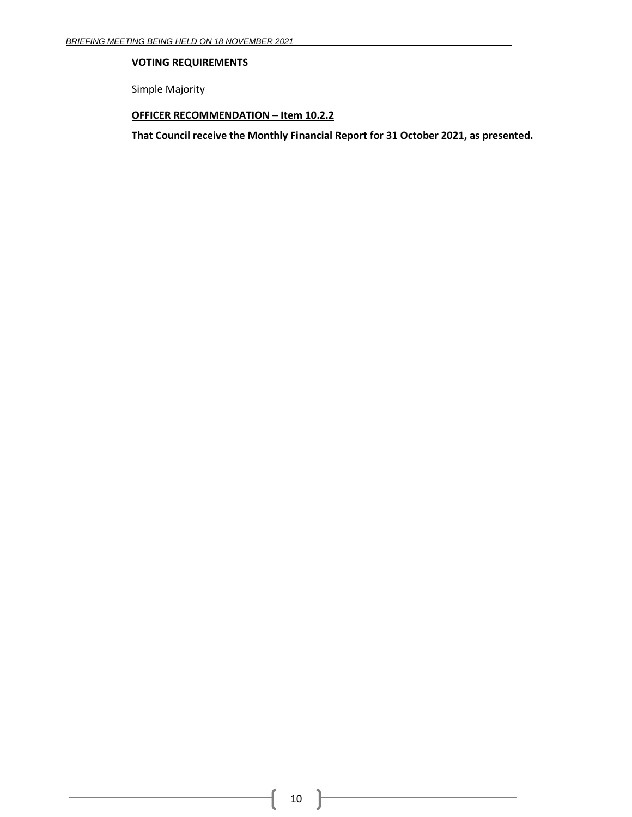# **VOTING REQUIREMENTS**

Simple Majority

# **OFFICER RECOMMENDATION – Item 10.2.2**

**That Council receive the Monthly Financial Report for 31 October 2021, as presented.**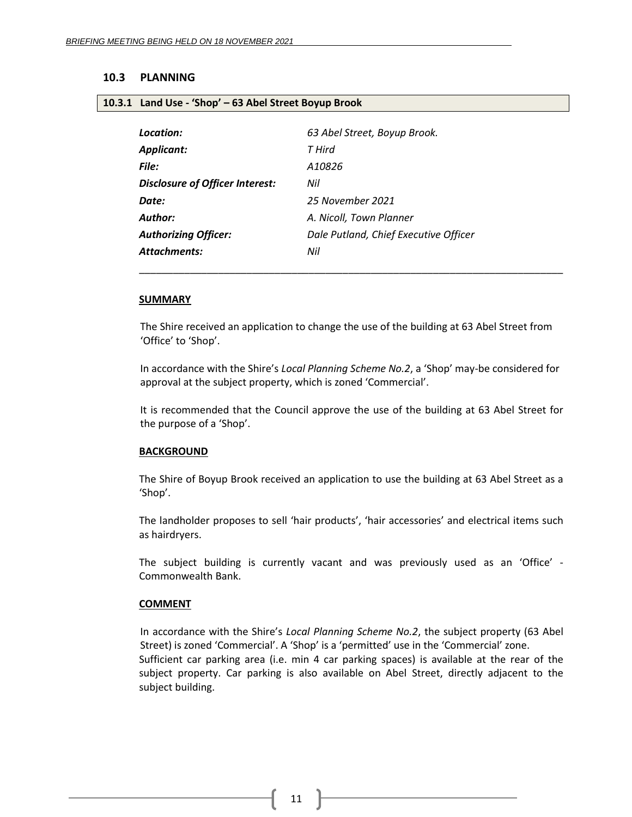#### <span id="page-10-1"></span><span id="page-10-0"></span>**10.3 PLANNING**

#### **10.3.1 Land Use - 'Shop' – 63 Abel Street Boyup Brook**

| 63 Abel Street, Boyup Brook.          |
|---------------------------------------|
| T Hird                                |
| A10826                                |
| Nil                                   |
| 25 November 2021                      |
| A. Nicoll, Town Planner               |
| Dale Putland, Chief Executive Officer |
| Nil                                   |
|                                       |

#### **SUMMARY**

The Shire received an application to change the use of the building at 63 Abel Street from 'Office' to 'Shop'.

\_\_\_\_\_\_\_\_\_\_\_\_\_\_\_\_\_\_\_\_\_\_\_\_\_\_\_\_\_\_\_\_\_\_\_\_\_\_\_\_\_\_\_\_\_\_\_\_\_\_\_\_\_\_\_\_\_\_\_\_\_\_\_\_\_\_\_\_\_\_\_\_\_\_\_

In accordance with the Shire's *Local Planning Scheme No.2*, a 'Shop' may-be considered for approval at the subject property, which is zoned 'Commercial'.

It is recommended that the Council approve the use of the building at 63 Abel Street for the purpose of a 'Shop'.

#### **BACKGROUND**

The Shire of Boyup Brook received an application to use the building at 63 Abel Street as a 'Shop'.

The landholder proposes to sell 'hair products', 'hair accessories' and electrical items such as hairdryers.

The subject building is currently vacant and was previously used as an 'Office' - Commonwealth Bank.

#### **COMMENT**

In accordance with the Shire's *Local Planning Scheme No.2*, the subject property (63 Abel Street) is zoned 'Commercial'. A 'Shop' is a 'permitted' use in the 'Commercial' zone. Sufficient car parking area (i.e. min 4 car parking spaces) is available at the rear of the subject property. Car parking is also available on Abel Street, directly adjacent to the subject building.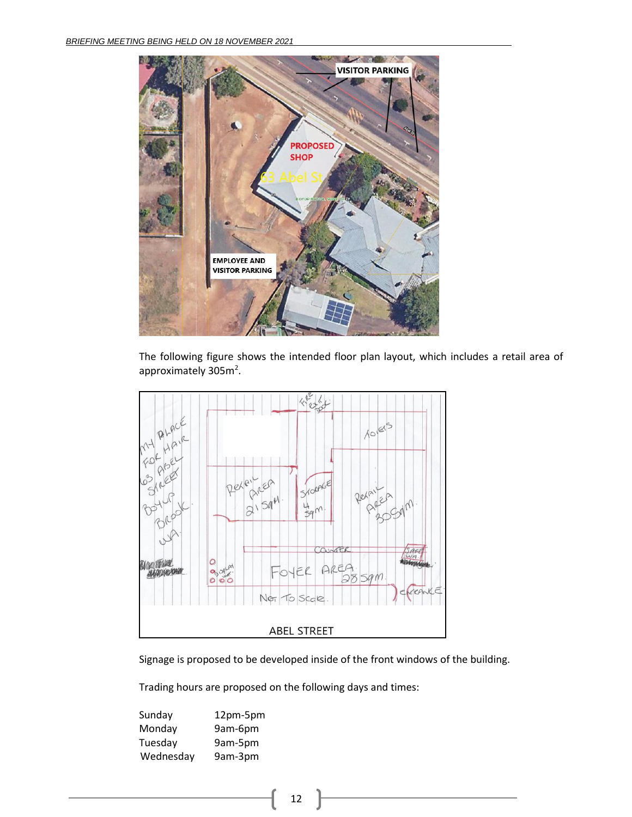

The following figure shows the intended floor plan layout, which includes a retail area of approximately 305m<sup>2</sup>.



Signage is proposed to be developed inside of the front windows of the building.

Trading hours are proposed on the following days and times:

| Sunday    | 12pm-5pm |
|-----------|----------|
| Monday    | 9am-6pm  |
| Tuesday   | 9am-5pm  |
| Wednesday | 9am-3pm  |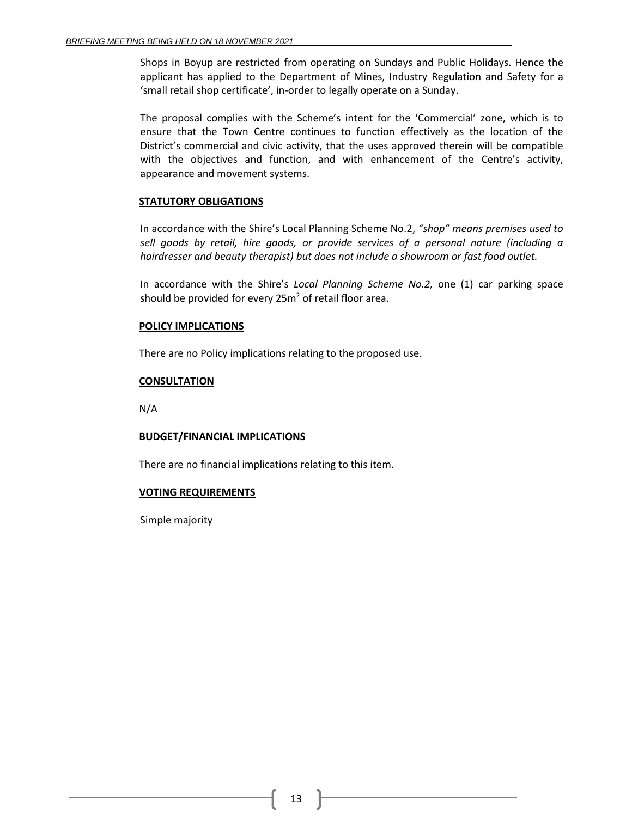Shops in Boyup are restricted from operating on Sundays and Public Holidays. Hence the applicant has applied to the Department of Mines, Industry Regulation and Safety for a 'small retail shop certificate', in-order to legally operate on a Sunday.

The proposal complies with the Scheme's intent for the 'Commercial' zone, which is to ensure that the Town Centre continues to function effectively as the location of the District's commercial and civic activity, that the uses approved therein will be compatible with the objectives and function, and with enhancement of the Centre's activity, appearance and movement systems.

## **STATUTORY OBLIGATIONS**

In accordance with the Shire's Local Planning Scheme No.2, *"shop" means premises used to sell goods by retail, hire goods, or provide services of a personal nature (including a hairdresser and beauty therapist) but does not include a showroom or fast food outlet.*

In accordance with the Shire's *Local Planning Scheme No.2,* one (1) car parking space should be provided for every  $25m^2$  of retail floor area.

# **POLICY IMPLICATIONS**

There are no Policy implications relating to the proposed use.

# **CONSULTATION**

N/A

# **BUDGET/FINANCIAL IMPLICATIONS**

There are no financial implications relating to this item.

# **VOTING REQUIREMENTS**

Simple majority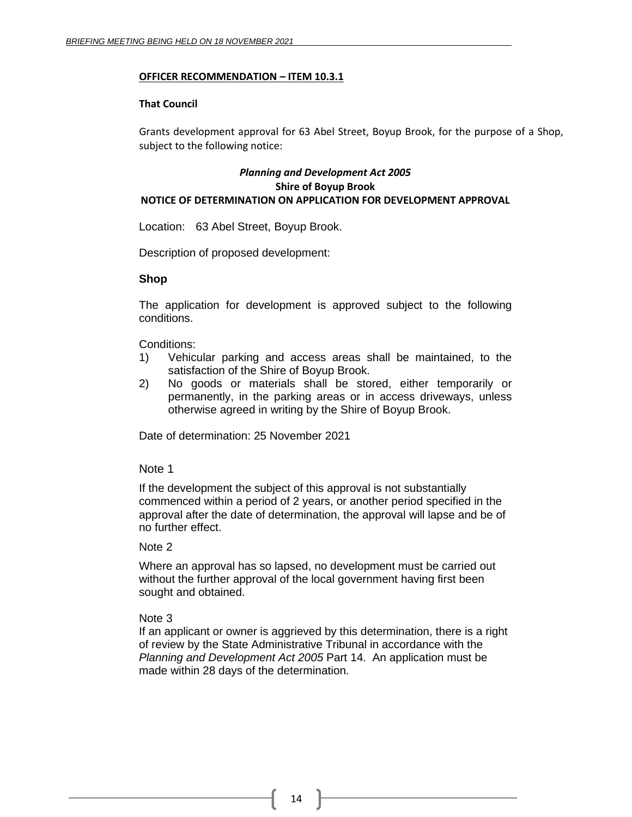## **OFFICER RECOMMENDATION – ITEM 10.3.1**

## **That Council**

Grants development approval for 63 Abel Street, Boyup Brook, for the purpose of a Shop, subject to the following notice:

# *Planning and Development Act 2005* **Shire of Boyup Brook NOTICE OF DETERMINATION ON APPLICATION FOR DEVELOPMENT APPROVAL**

Location: 63 Abel Street, Boyup Brook.

Description of proposed development:

## **Shop**

The application for development is approved subject to the following conditions.

Conditions:

- 1) Vehicular parking and access areas shall be maintained, to the satisfaction of the Shire of Boyup Brook.
- 2) No goods or materials shall be stored, either temporarily or permanently, in the parking areas or in access driveways, unless otherwise agreed in writing by the Shire of Boyup Brook.

Date of determination: 25 November 2021

## Note 1

If the development the subject of this approval is not substantially commenced within a period of 2 years, or another period specified in the approval after the date of determination, the approval will lapse and be of no further effect.

## Note 2

Where an approval has so lapsed, no development must be carried out without the further approval of the local government having first been sought and obtained.

# Note 3

If an applicant or owner is aggrieved by this determination, there is a right of review by the State Administrative Tribunal in accordance with the *Planning and Development Act 2005* Part 14. An application must be made within 28 days of the determination.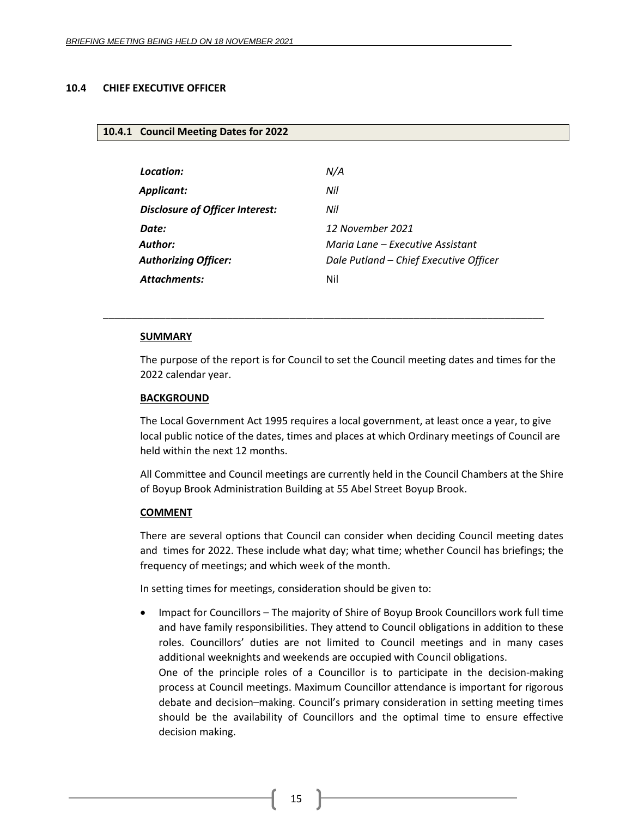# <span id="page-14-1"></span><span id="page-14-0"></span>**10.4 CHIEF EXECUTIVE OFFICER**

#### **10.4.1 Council Meeting Dates for 2022**

| N/A                                    |
|----------------------------------------|
|                                        |
|                                        |
| 12 November 2021                       |
| Maria Lane – Executive Assistant       |
| Dale Putland - Chief Executive Officer |
|                                        |
|                                        |

\_\_\_\_\_\_\_\_\_\_\_\_\_\_\_\_\_\_\_\_\_\_\_\_\_\_\_\_\_\_\_\_\_\_\_\_\_\_\_\_\_\_\_\_\_\_\_\_\_\_\_\_\_\_\_\_\_\_\_\_\_\_\_\_\_\_\_\_\_\_\_\_\_\_\_\_\_\_

#### **SUMMARY**

The purpose of the report is for Council to set the Council meeting dates and times for the 2022 calendar year.

#### **BACKGROUND**

The Local Government Act 1995 requires a local government, at least once a year, to give local public notice of the dates, times and places at which Ordinary meetings of Council are held within the next 12 months.

All Committee and Council meetings are currently held in the Council Chambers at the Shire of Boyup Brook Administration Building at 55 Abel Street Boyup Brook.

#### **COMMENT**

There are several options that Council can consider when deciding Council meeting dates and times for 2022. These include what day; what time; whether Council has briefings; the frequency of meetings; and which week of the month.

In setting times for meetings, consideration should be given to:

• Impact for Councillors – The majority of Shire of Boyup Brook Councillors work full time and have family responsibilities. They attend to Council obligations in addition to these roles. Councillors' duties are not limited to Council meetings and in many cases additional weeknights and weekends are occupied with Council obligations. One of the principle roles of a Councillor is to participate in the decision-making process at Council meetings. Maximum Councillor attendance is important for rigorous debate and decision–making. Council's primary consideration in setting meeting times should be the availability of Councillors and the optimal time to ensure effective decision making.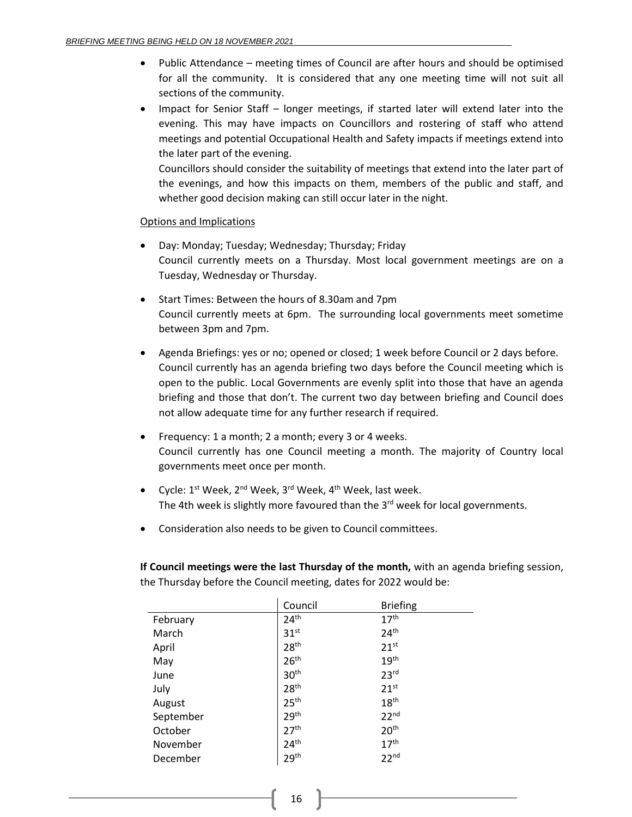- Public Attendance meeting times of Council are after hours and should be optimised for all the community. It is considered that any one meeting time will not suit all sections of the community.
- Impact for Senior Staff longer meetings, if started later will extend later into the evening. This may have impacts on Councillors and rostering of staff who attend meetings and potential Occupational Health and Safety impacts if meetings extend into the later part of the evening.

Councillors should consider the suitability of meetings that extend into the later part of the evenings, and how this impacts on them, members of the public and staff, and whether good decision making can still occur later in the night.

# Options and Implications

- Day: Monday; Tuesday; Wednesday; Thursday; Friday Council currently meets on a Thursday. Most local government meetings are on a Tuesday, Wednesday or Thursday.
- Start Times: Between the hours of 8.30am and 7pm Council currently meets at 6pm. The surrounding local governments meet sometime between 3pm and 7pm.
- Agenda Briefings: yes or no; opened or closed; 1 week before Council or 2 days before. Council currently has an agenda briefing two days before the Council meeting which is open to the public. Local Governments are evenly split into those that have an agenda briefing and those that don't. The current two day between briefing and Council does not allow adequate time for any further research if required.
- Frequency: 1 a month; 2 a month; every 3 or 4 weeks. Council currently has one Council meeting a month. The majority of Country local governments meet once per month.
- Cycle: 1<sup>st</sup> Week, 2<sup>nd</sup> Week, 3<sup>rd</sup> Week, 4<sup>th</sup> Week, last week. The 4th week is slightly more favoured than the  $3<sup>rd</sup>$  week for local governments.
- Consideration also needs to be given to Council committees.

**If Council meetings were the last Thursday of the month,** with an agenda briefing session, the Thursday before the Council meeting, dates for 2022 would be:

|           | Council          | <b>Briefing</b>  |
|-----------|------------------|------------------|
| February  | 24 <sup>th</sup> | 17 <sup>th</sup> |
| March     | 31 <sup>st</sup> | 24 <sup>th</sup> |
| April     | 28 <sup>th</sup> | 21 <sup>st</sup> |
| May       | 26 <sup>th</sup> | 19 <sup>th</sup> |
| June      | 30 <sup>th</sup> | 23 <sup>rd</sup> |
| July      | 28 <sup>th</sup> | 21 <sup>st</sup> |
| August    | 25 <sup>th</sup> | 18 <sup>th</sup> |
| September | 29 <sup>th</sup> | 22 <sup>nd</sup> |
| October   | 27 <sup>th</sup> | 20 <sup>th</sup> |
| November  | 24 <sup>th</sup> | 17 <sup>th</sup> |
| December  | 29 <sup>th</sup> | 22 <sup>nd</sup> |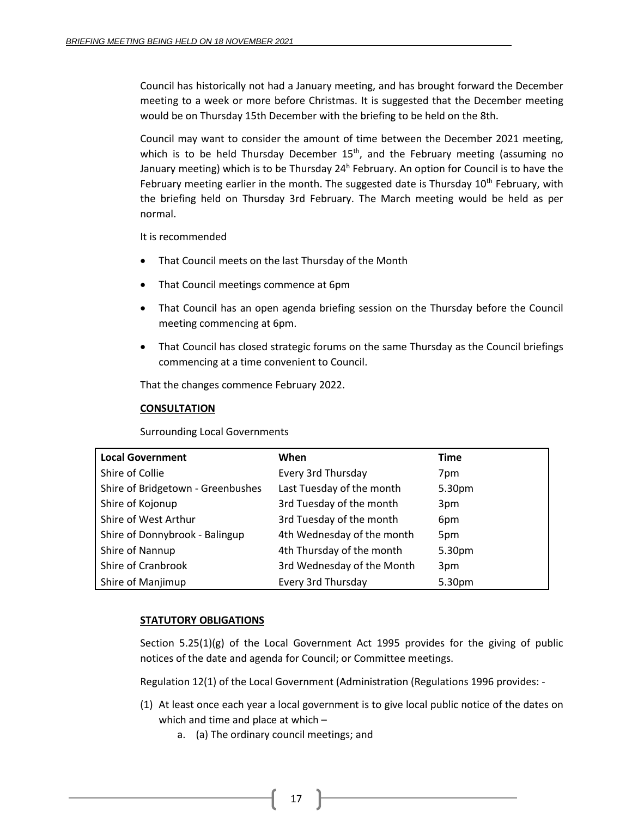Council has historically not had a January meeting, and has brought forward the December meeting to a week or more before Christmas. It is suggested that the December meeting would be on Thursday 15th December with the briefing to be held on the 8th.

Council may want to consider the amount of time between the December 2021 meeting, which is to be held Thursday December 15<sup>th</sup>, and the February meeting (assuming no January meeting) which is to be Thursday 24<sup>h</sup> February. An option for Council is to have the February meeting earlier in the month. The suggested date is Thursday 10<sup>th</sup> February, with the briefing held on Thursday 3rd February. The March meeting would be held as per normal.

It is recommended

- That Council meets on the last Thursday of the Month
- That Council meetings commence at 6pm
- That Council has an open agenda briefing session on the Thursday before the Council meeting commencing at 6pm.
- That Council has closed strategic forums on the same Thursday as the Council briefings commencing at a time convenient to Council.

That the changes commence February 2022.

# **CONSULTATION**

Surrounding Local Governments

| <b>Local Government</b>           | When                       | <b>Time</b> |
|-----------------------------------|----------------------------|-------------|
| Shire of Collie                   | Every 3rd Thursday         | 7pm         |
| Shire of Bridgetown - Greenbushes | Last Tuesday of the month  | 5.30pm      |
| Shire of Kojonup                  | 3rd Tuesday of the month   | 3pm         |
| Shire of West Arthur              | 3rd Tuesday of the month   | 6pm         |
| Shire of Donnybrook - Balingup    | 4th Wednesday of the month | 5pm         |
| Shire of Nannup                   | 4th Thursday of the month  | 5.30pm      |
| Shire of Cranbrook                | 3rd Wednesday of the Month | 3pm         |
| Shire of Manjimup                 | Every 3rd Thursday         | 5.30pm      |

# **STATUTORY OBLIGATIONS**

Section  $5.25(1)(g)$  of the Local Government Act 1995 provides for the giving of public notices of the date and agenda for Council; or Committee meetings.

Regulation 12(1) of the Local Government (Administration (Regulations 1996 provides: -

- (1) At least once each year a local government is to give local public notice of the dates on which and time and place at which –
	- a. (a) The ordinary council meetings; and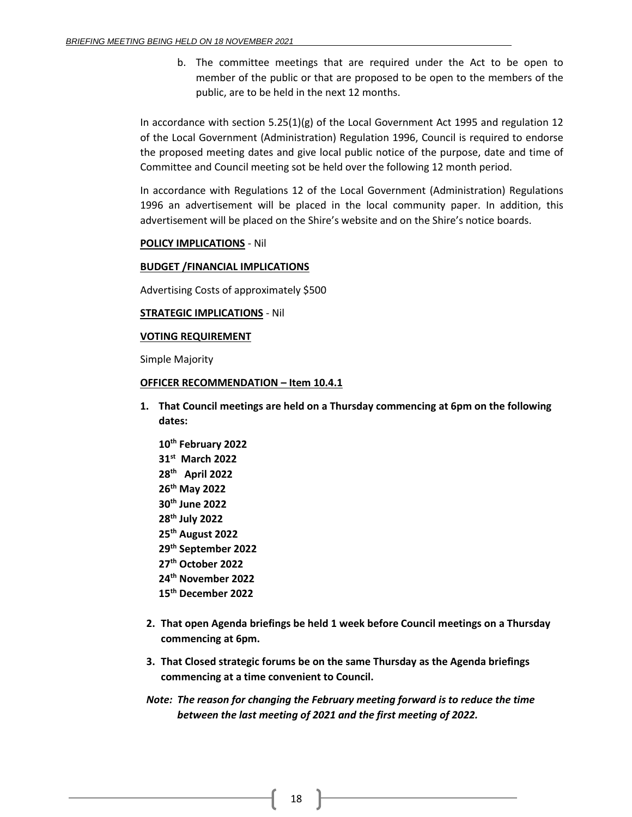b. The committee meetings that are required under the Act to be open to member of the public or that are proposed to be open to the members of the public, are to be held in the next 12 months.

In accordance with section  $5.25(1)(g)$  of the Local Government Act 1995 and regulation 12 of the Local Government (Administration) Regulation 1996, Council is required to endorse the proposed meeting dates and give local public notice of the purpose, date and time of Committee and Council meeting sot be held over the following 12 month period.

In accordance with Regulations 12 of the Local Government (Administration) Regulations 1996 an advertisement will be placed in the local community paper. In addition, this advertisement will be placed on the Shire's website and on the Shire's notice boards.

## **POLICY IMPLICATIONS** - Nil

#### **BUDGET /FINANCIAL IMPLICATIONS**

Advertising Costs of approximately \$500

#### **STRATEGIC IMPLICATIONS** - Nil

## **VOTING REQUIREMENT**

Simple Majority

#### **OFFICER RECOMMENDATION – Item 10.4.1**

- **1. That Council meetings are held on a Thursday commencing at 6pm on the following dates:**
	- **10 th February 2022 31st March 2022 28th April 2022 26 th May 2022 30th June 2022 28 th July 2022 25 th August 2022 29th September 2022 27 th October 2022 24 th November 2022 15 th December 2022**
- **2. That open Agenda briefings be held 1 week before Council meetings on a Thursday commencing at 6pm.**
- **3. That Closed strategic forums be on the same Thursday as the Agenda briefings commencing at a time convenient to Council.**
- *Note: The reason for changing the February meeting forward is to reduce the time between the last meeting of 2021 and the first meeting of 2022.*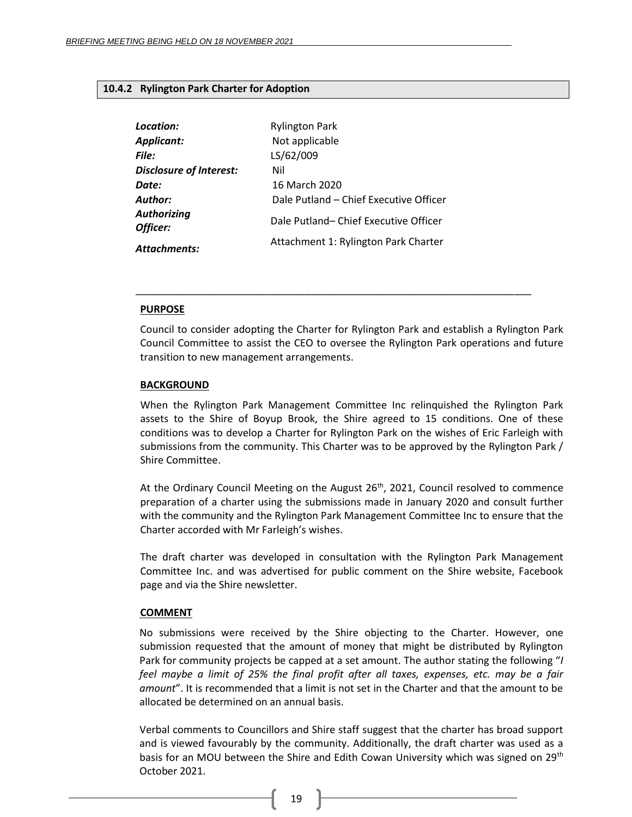## <span id="page-18-0"></span>**10.4.2 Rylington Park Charter for Adoption**

| Location:                      | <b>Rylington Park</b>                  |
|--------------------------------|----------------------------------------|
| Applicant:                     | Not applicable                         |
| File:                          | LS/62/009                              |
| <b>Disclosure of Interest:</b> | Nil                                    |
| Date:                          | 16 March 2020                          |
| <b>Author:</b>                 | Dale Putland - Chief Executive Officer |
| <b>Authorizing</b><br>Officer: | Dale Putland-Chief Executive Officer   |
| <b>Attachments:</b>            | Attachment 1: Rylington Park Charter   |

#### **PURPOSE**

Council to consider adopting the Charter for Rylington Park and establish a Rylington Park Council Committee to assist the CEO to oversee the Rylington Park operations and future transition to new management arrangements.

\_\_\_\_\_\_\_\_\_\_\_\_\_\_\_\_\_\_\_\_\_\_\_\_\_\_\_\_\_\_\_\_\_\_\_\_\_\_\_\_\_\_\_\_\_\_\_\_\_\_\_\_\_\_\_\_\_\_\_\_\_\_\_\_\_\_\_\_\_\_

#### **BACKGROUND**

When the Rylington Park Management Committee Inc relinquished the Rylington Park assets to the Shire of Boyup Brook, the Shire agreed to 15 conditions. One of these conditions was to develop a Charter for Rylington Park on the wishes of Eric Farleigh with submissions from the community. This Charter was to be approved by the Rylington Park / Shire Committee.

At the Ordinary Council Meeting on the August  $26<sup>th</sup>$ , 2021, Council resolved to commence preparation of a charter using the submissions made in January 2020 and consult further with the community and the Rylington Park Management Committee Inc to ensure that the Charter accorded with Mr Farleigh's wishes.

The draft charter was developed in consultation with the Rylington Park Management Committee Inc. and was advertised for public comment on the Shire website, Facebook page and via the Shire newsletter.

## **COMMENT**

No submissions were received by the Shire objecting to the Charter. However, one submission requested that the amount of money that might be distributed by Rylington Park for community projects be capped at a set amount. The author stating the following "*I feel maybe a limit of 25% the final profit after all taxes, expenses, etc. may be a fair amount*". It is recommended that a limit is not set in the Charter and that the amount to be allocated be determined on an annual basis.

Verbal comments to Councillors and Shire staff suggest that the charter has broad support and is viewed favourably by the community. Additionally, the draft charter was used as a basis for an MOU between the Shire and Edith Cowan University which was signed on 29<sup>th</sup> October 2021.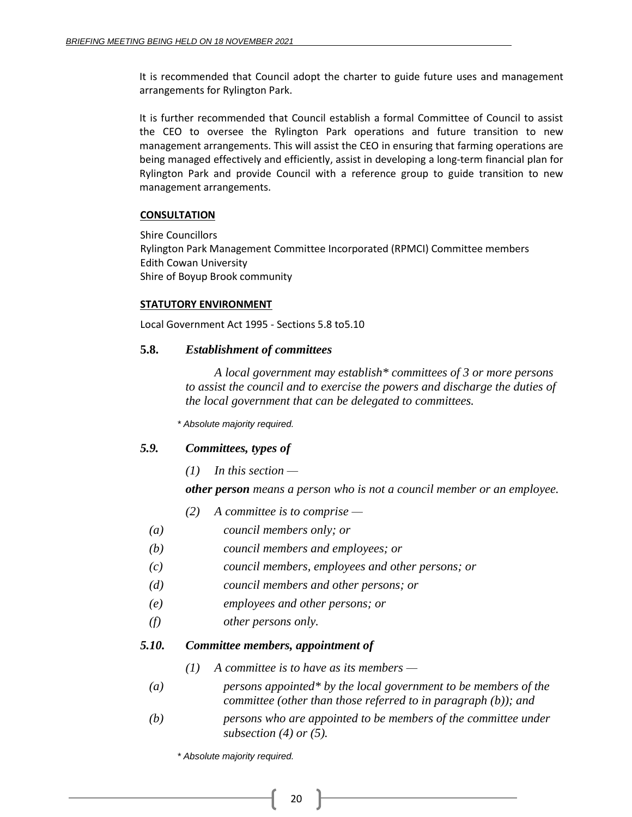It is recommended that Council adopt the charter to guide future uses and management arrangements for Rylington Park.

It is further recommended that Council establish a formal Committee of Council to assist the CEO to oversee the Rylington Park operations and future transition to new management arrangements. This will assist the CEO in ensuring that farming operations are being managed effectively and efficiently, assist in developing a long-term financial plan for Rylington Park and provide Council with a reference group to guide transition to new management arrangements.

# **CONSULTATION**

Shire Councillors Rylington Park Management Committee Incorporated (RPMCI) Committee members Edith Cowan University Shire of Boyup Brook community

# **STATUTORY ENVIRONMENT**

Local Government Act 1995 - Sections 5.8 to5.10

# **5.8.** *Establishment of committees*

*A local government may establish\* committees of 3 or more persons to assist the council and to exercise the powers and discharge the duties of the local government that can be delegated to committees.*

*\* Absolute majority required.*

# *5.9. Committees, types of*

*(1) In this section —*

*other person means a person who is not a council member or an employee.*

- *(2) A committee is to comprise —*
- *(a) council members only; or*
- *(b) council members and employees; or*
- *(c) council members, employees and other persons; or*
- *(d) council members and other persons; or*
- *(e) employees and other persons; or*
- *(f) other persons only.*

# *5.10. Committee members, appointment of*

- *(1) A committee is to have as its members —*
- *(a) persons appointed\* by the local government to be members of the committee (other than those referred to in paragraph (b)); and*
- *(b) persons who are appointed to be members of the committee under subsection (4) or (5).*

*\* Absolute majority required.*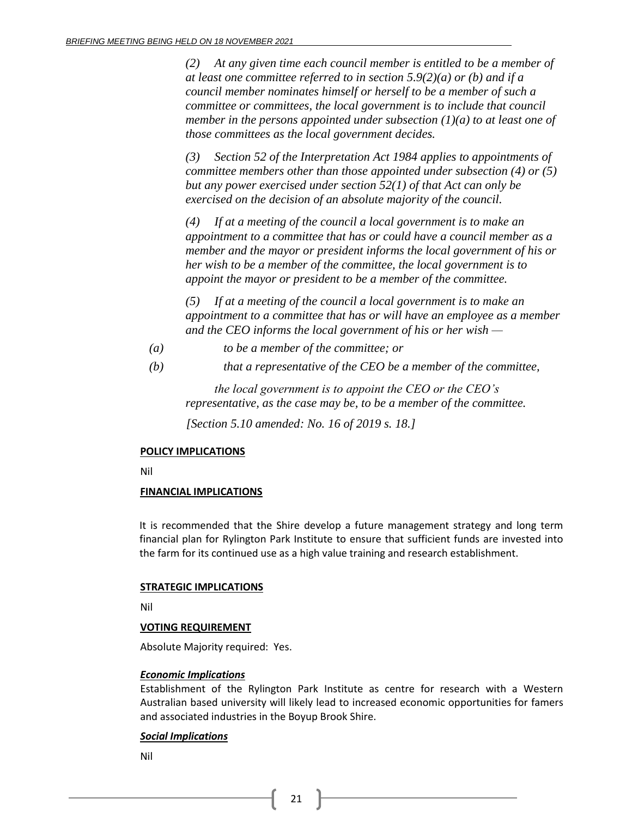*(2) At any given time each council member is entitled to be a member of at least one committee referred to in section 5.9(2)(a) or (b) and if a council member nominates himself or herself to be a member of such a committee or committees, the local government is to include that council member in the persons appointed under subsection (1)(a) to at least one of those committees as the local government decides.*

*(3) Section 52 of the Interpretation Act 1984 applies to appointments of committee members other than those appointed under subsection (4) or (5) but any power exercised under section 52(1) of that Act can only be exercised on the decision of an absolute majority of the council.*

*(4) If at a meeting of the council a local government is to make an appointment to a committee that has or could have a council member as a member and the mayor or president informs the local government of his or her wish to be a member of the committee, the local government is to appoint the mayor or president to be a member of the committee.* 

*(5) If at a meeting of the council a local government is to make an appointment to a committee that has or will have an employee as a member and the CEO informs the local government of his or her wish —*

- *(a) to be a member of the committee; or*
- *(b) that a representative of the CEO be a member of the committee,*

*the local government is to appoint the CEO or the CEO's representative, as the case may be, to be a member of the committee.*

*[Section 5.10 amended: No. 16 of 2019 s. 18.]*

## **POLICY IMPLICATIONS**

Nil

## **FINANCIAL IMPLICATIONS**

It is recommended that the Shire develop a future management strategy and long term financial plan for Rylington Park Institute to ensure that sufficient funds are invested into the farm for its continued use as a high value training and research establishment.

## **STRATEGIC IMPLICATIONS**

Nil

## **VOTING REQUIREMENT**

Absolute Majority required: Yes.

## *Economic Implications*

Establishment of the Rylington Park Institute as centre for research with a Western Australian based university will likely lead to increased economic opportunities for famers and associated industries in the Boyup Brook Shire.

## *Social Implications*

Nil